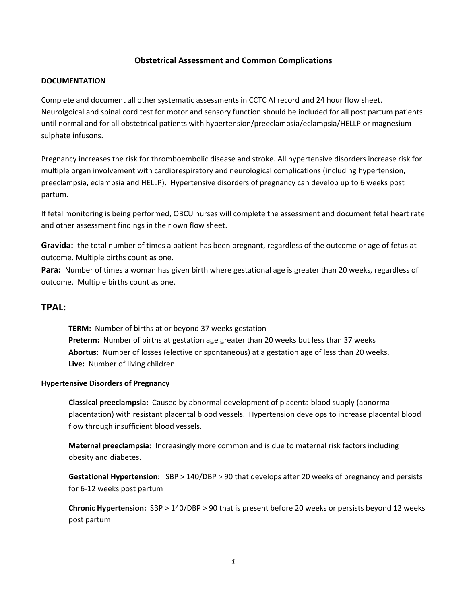## **Obstetrical Assessment and Common Complications**

#### **DOCUMENTATION**

Complete and document all other systematic assessments in CCTC AI record and 24 hour flow sheet. Neurolgoical and spinal cord test for motor and sensory function should be included for all post partum patients until normal and for all obstetrical patients with hypertension/preeclampsia/eclampsia/HELLP or magnesium sulphate infusons.

Pregnancy increases the risk for thromboembolic disease and stroke. All hypertensive disorders increase risk for multiple organ involvement with cardiorespiratory and neurological complications (including hypertension, preeclampsia, eclampsia and HELLP). Hypertensive disorders of pregnancy can develop up to 6 weeks post partum.

If fetal monitoring is being performed, OBCU nurses will complete the assessment and document fetal heart rate and other assessment findings in their own flow sheet.

**Gravida:** the total number of times a patient has been pregnant, regardless of the outcome or age of fetus at outcome. Multiple births count as one.

**Para:** Number of times a woman has given birth where gestational age is greater than 20 weeks, regardless of outcome. Multiple births count as one.

## **TPAL:**

**TERM:** Number of births at or beyond 37 weeks gestation **Preterm:** Number of births at gestation age greater than 20 weeks but less than 37 weeks **Abortus:** Number of losses (elective or spontaneous) at a gestation age of less than 20 weeks. **Live:** Number of living children

#### **Hypertensive Disorders of Pregnancy**

**Classical preeclampsia:** Caused by abnormal development of placenta blood supply (abnormal placentation) with resistant placental blood vessels. Hypertension develops to increase placental blood flow through insufficient blood vessels.

**Maternal preeclampsia:** Increasingly more common and is due to maternal risk factors including obesity and diabetes.

**Gestational Hypertension:** SBP > 140/DBP > 90 that develops after 20 weeks of pregnancy and persists for 6-12 weeks post partum

**Chronic Hypertension:** SBP > 140/DBP > 90 that is present before 20 weeks or persists beyond 12 weeks post partum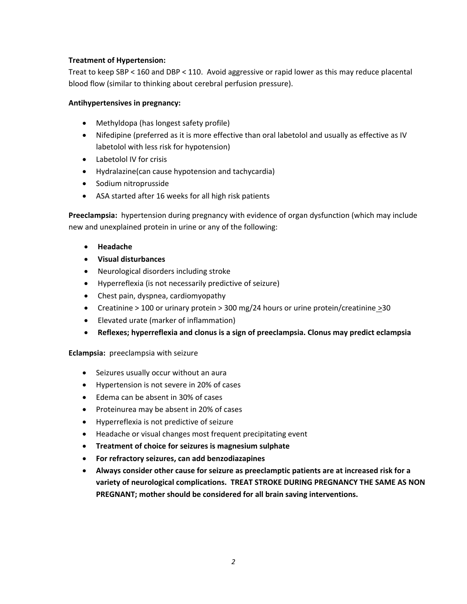## **Treatment of Hypertension:**

Treat to keep SBP < 160 and DBP < 110. Avoid aggressive or rapid lower as this may reduce placental blood flow (similar to thinking about cerebral perfusion pressure).

## **Antihypertensives in pregnancy:**

- Methyldopa (has longest safety profile)
- Nifedipine (preferred as it is more effective than oral labetolol and usually as effective as IV labetolol with less risk for hypotension)
- Labetolol IV for crisis
- Hydralazine(can cause hypotension and tachycardia)
- Sodium nitroprusside
- ASA started after 16 weeks for all high risk patients

**Preeclampsia:** hypertension during pregnancy with evidence of organ dysfunction (which may include new and unexplained protein in urine or any of the following:

- **Headache**
- **Visual disturbances**
- Neurological disorders including stroke
- Hyperreflexia (is not necessarily predictive of seizure)
- Chest pain, dyspnea, cardiomyopathy
- Creatinine > 100 or urinary protein > 300 mg/24 hours or urine protein/creatinine >30
- Elevated urate (marker of inflammation)
- **Reflexes; hyperreflexia and clonus is a sign of preeclampsia. Clonus may predict eclampsia**

**Eclampsia:** preeclampsia with seizure

- Seizures usually occur without an aura
- Hypertension is not severe in 20% of cases
- Edema can be absent in 30% of cases
- Proteinurea may be absent in 20% of cases
- Hyperreflexia is not predictive of seizure
- Headache or visual changes most frequent precipitating event
- **Treatment of choice for seizures is magnesium sulphate**
- **For refractory seizures, can add benzodiazapines**
- **Always consider other cause for seizure as preeclamptic patients are at increased risk for a variety of neurological complications. TREAT STROKE DURING PREGNANCY THE SAME AS NON PREGNANT; mother should be considered for all brain saving interventions.**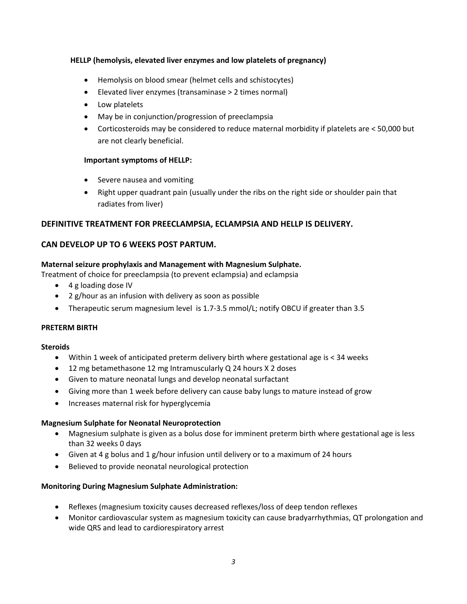## **HELLP (hemolysis, elevated liver enzymes and low platelets of pregnancy)**

- Hemolysis on blood smear (helmet cells and schistocytes)
- Elevated liver enzymes (transaminase > 2 times normal)
- Low platelets
- May be in conjunction/progression of preeclampsia
- Corticosteroids may be considered to reduce maternal morbidity if platelets are < 50,000 but are not clearly beneficial.

## **Important symptoms of HELLP:**

- Severe nausea and vomiting
- Right upper quadrant pain (usually under the ribs on the right side or shoulder pain that radiates from liver)

## **DEFINITIVE TREATMENT FOR PREECLAMPSIA, ECLAMPSIA AND HELLP IS DELIVERY.**

## **CAN DEVELOP UP TO 6 WEEKS POST PARTUM.**

## **Maternal seizure prophylaxis and Management with Magnesium Sulphate.**

- Treatment of choice for preeclampsia (to prevent eclampsia) and eclampsia
	- 4 g loading dose IV
	- 2 g/hour as an infusion with delivery as soon as possible
	- Therapeutic serum magnesium level is 1.7-3.5 mmol/L; notify OBCU if greater than 3.5

## **PRETERM BIRTH**

## **Steroids**

- Within 1 week of anticipated preterm delivery birth where gestational age is < 34 weeks
- 12 mg betamethasone 12 mg Intramuscularly Q 24 hours X 2 doses
- Given to mature neonatal lungs and develop neonatal surfactant
- Giving more than 1 week before delivery can cause baby lungs to mature instead of grow
- Increases maternal risk for hyperglycemia

## **Magnesium Sulphate for Neonatal Neuroprotection**

- Magnesium sulphate is given as a bolus dose for imminent preterm birth where gestational age is less than 32 weeks 0 days
- Given at 4 g bolus and 1 g/hour infusion until delivery or to a maximum of 24 hours
- Believed to provide neonatal neurological protection

## **Monitoring During Magnesium Sulphate Administration:**

- Reflexes (magnesium toxicity causes decreased reflexes/loss of deep tendon reflexes
- Monitor cardiovascular system as magnesium toxicity can cause bradyarrhythmias, QT prolongation and wide QRS and lead to cardiorespiratory arrest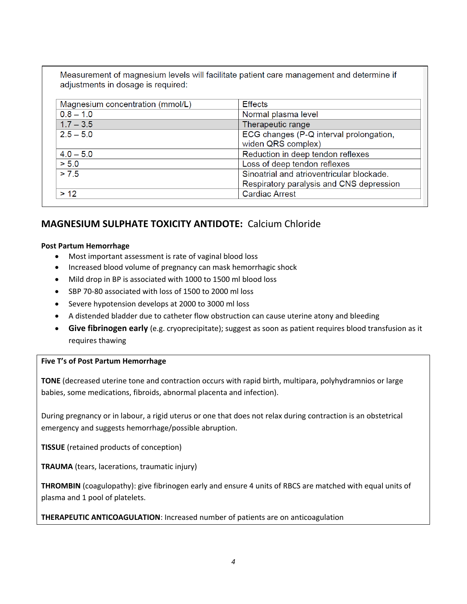Measurement of magnesium levels will facilitate patient care management and determine if adjustments in dosage is required:

| Magnesium concentration (mmol/L) | <b>Effects</b>                            |
|----------------------------------|-------------------------------------------|
| $0.8 - 1.0$                      | Normal plasma level                       |
| $1.7 - 3.5$                      | Therapeutic range                         |
| $2.5 - 5.0$                      | ECG changes (P-Q interval prolongation,   |
|                                  | widen QRS complex)                        |
| $4.0 - 5.0$                      | Reduction in deep tendon reflexes         |
| > 5.0                            | Loss of deep tendon reflexes              |
| > 7.5                            | Sinoatrial and atrioventricular blockade. |
|                                  | Respiratory paralysis and CNS depression  |
| > 12                             | <b>Cardiac Arrest</b>                     |

# **MAGNESIUM SULPHATE TOXICITY ANTIDOTE:** Calcium Chloride

## **Post Partum Hemorrhage**

- Most important assessment is rate of vaginal blood loss
- Increased blood volume of pregnancy can mask hemorrhagic shock
- Mild drop in BP is associated with 1000 to 1500 ml blood loss
- SBP 70-80 associated with loss of 1500 to 2000 ml loss
- Severe hypotension develops at 2000 to 3000 ml loss
- A distended bladder due to catheter flow obstruction can cause uterine atony and bleeding
- **Give fibrinogen early** (e.g. cryoprecipitate); suggest as soon as patient requires blood transfusion as it requires thawing

# **Five T's of Post Partum Hemorrhage**

**TONE** (decreased uterine tone and contraction occurs with rapid birth, multipara, polyhydramnios or large babies, some medications, fibroids, abnormal placenta and infection).

During pregnancy or in labour, a rigid uterus or one that does not relax during contraction is an obstetrical emergency and suggests hemorrhage/possible abruption.

**TISSUE** (retained products of conception)

**TRAUMA** (tears, lacerations, traumatic injury)

**THROMBIN** (coagulopathy): give fibrinogen early and ensure 4 units of RBCS are matched with equal units of plasma and 1 pool of platelets.

**THERAPEUTIC ANTICOAGULATION**: Increased number of patients are on anticoagulation